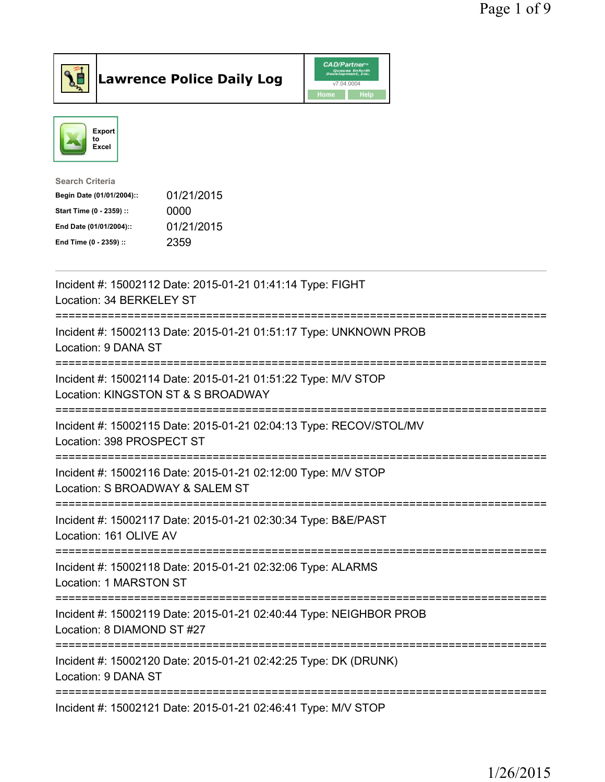



| <b>Search Criteria</b>    |            |
|---------------------------|------------|
| Begin Date (01/01/2004):: | 01/21/2015 |
| Start Time (0 - 2359) ::  | 0000       |
| End Date (01/01/2004)::   | 01/21/2015 |
| End Time (0 - 2359) ::    | 2359       |
|                           |            |

| Incident #: 15002112 Date: 2015-01-21 01:41:14 Type: FIGHT<br>Location: 34 BERKELEY ST                          |
|-----------------------------------------------------------------------------------------------------------------|
| Incident #: 15002113 Date: 2015-01-21 01:51:17 Type: UNKNOWN PROB<br>Location: 9 DANA ST                        |
| Incident #: 15002114 Date: 2015-01-21 01:51:22 Type: M/V STOP<br>Location: KINGSTON ST & S BROADWAY             |
| Incident #: 15002115 Date: 2015-01-21 02:04:13 Type: RECOV/STOL/MV<br>Location: 398 PROSPECT ST<br>============ |
| Incident #: 15002116 Date: 2015-01-21 02:12:00 Type: M/V STOP<br>Location: S BROADWAY & SALEM ST                |
| Incident #: 15002117 Date: 2015-01-21 02:30:34 Type: B&E/PAST<br>Location: 161 OLIVE AV<br>-------------------- |
| Incident #: 15002118 Date: 2015-01-21 02:32:06 Type: ALARMS<br>Location: 1 MARSTON ST                           |
| Incident #: 15002119 Date: 2015-01-21 02:40:44 Type: NEIGHBOR PROB<br>Location: 8 DIAMOND ST #27                |
| Incident #: 15002120 Date: 2015-01-21 02:42:25 Type: DK (DRUNK)<br>Location: 9 DANA ST                          |
| Incident #: 15002121 Date: 2015-01-21 02:46:41 Type: M/V STOP                                                   |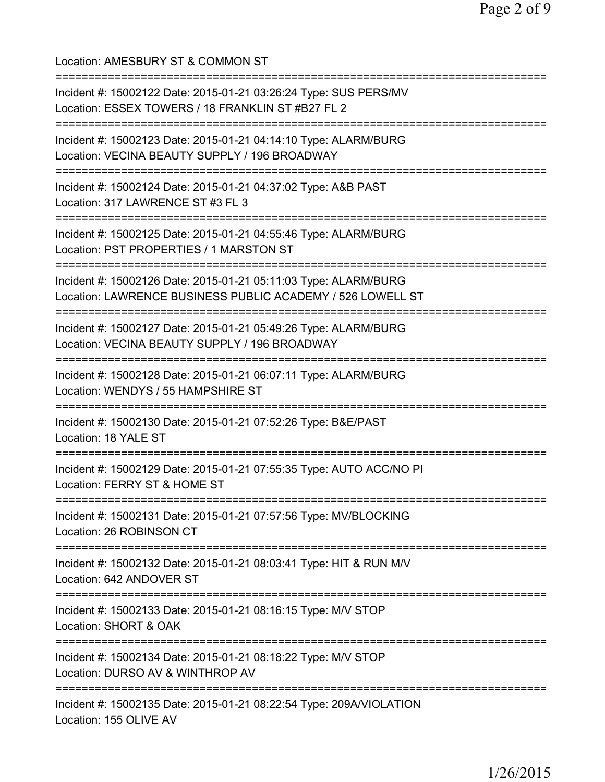Location: AMESBURY ST & COMMON ST =========================================================================== Incident #: 15002122 Date: 2015-01-21 03:26:24 Type: SUS PERS/MV Location: ESSEX TOWERS / 18 FRANKLIN ST #B27 FL 2 =========================================================================== Incident #: 15002123 Date: 2015-01-21 04:14:10 Type: ALARM/BURG Location: VECINA BEAUTY SUPPLY / 196 BROADWAY =========================================================================== Incident #: 15002124 Date: 2015-01-21 04:37:02 Type: A&B PAST Location: 317 LAWRENCE ST #3 FL 3 =========================================================================== Incident #: 15002125 Date: 2015-01-21 04:55:46 Type: ALARM/BURG Location: PST PROPERTIES / 1 MARSTON ST =========================================================================== Incident #: 15002126 Date: 2015-01-21 05:11:03 Type: ALARM/BURG Location: LAWRENCE BUSINESS PUBLIC ACADEMY / 526 LOWELL ST =========================================================================== Incident #: 15002127 Date: 2015-01-21 05:49:26 Type: ALARM/BURG Location: VECINA BEAUTY SUPPLY / 196 BROADWAY =========================================================================== Incident #: 15002128 Date: 2015-01-21 06:07:11 Type: ALARM/BURG Location: WENDYS / 55 HAMPSHIRE ST =========================================================================== Incident #: 15002130 Date: 2015-01-21 07:52:26 Type: B&E/PAST Location: 18 YALE ST =========================================================================== Incident #: 15002129 Date: 2015-01-21 07:55:35 Type: AUTO ACC/NO PI Location: FERRY ST & HOME ST =========================================================================== Incident #: 15002131 Date: 2015-01-21 07:57:56 Type: MV/BLOCKING Location: 26 ROBINSON CT =========================================================================== Incident #: 15002132 Date: 2015-01-21 08:03:41 Type: HIT & RUN M/V Location: 642 ANDOVER ST =========================================================================== Incident #: 15002133 Date: 2015-01-21 08:16:15 Type: M/V STOP Location: SHORT & OAK =========================================================================== Incident #: 15002134 Date: 2015-01-21 08:18:22 Type: M/V STOP Location: DURSO AV & WINTHROP AV =========================================================================== Incident #: 15002135 Date: 2015-01-21 08:22:54 Type: 209A/VIOLATION Location: 155 OLIVE AV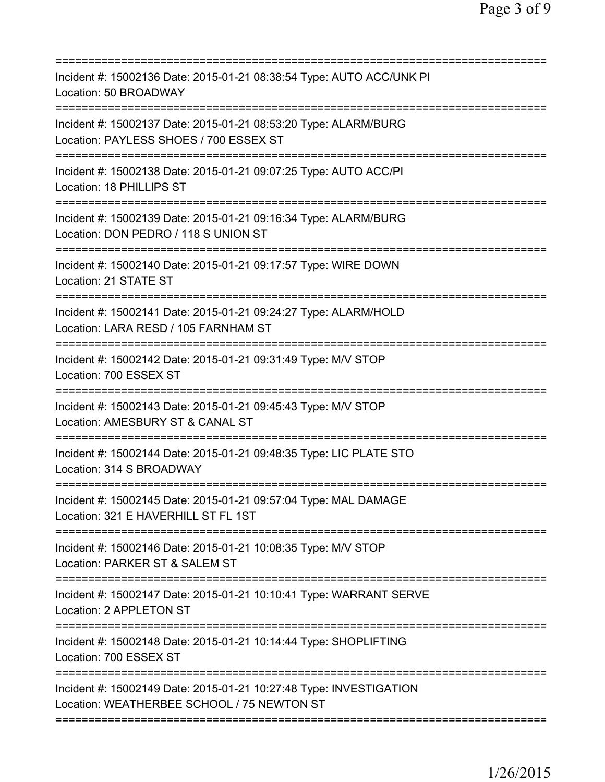| Incident #: 15002136 Date: 2015-01-21 08:38:54 Type: AUTO ACC/UNK PI<br>Location: 50 BROADWAY                                                 |
|-----------------------------------------------------------------------------------------------------------------------------------------------|
| Incident #: 15002137 Date: 2015-01-21 08:53:20 Type: ALARM/BURG<br>Location: PAYLESS SHOES / 700 ESSEX ST<br>=============================    |
| Incident #: 15002138 Date: 2015-01-21 09:07:25 Type: AUTO ACC/PI<br>Location: 18 PHILLIPS ST                                                  |
| Incident #: 15002139 Date: 2015-01-21 09:16:34 Type: ALARM/BURG<br>Location: DON PEDRO / 118 S UNION ST                                       |
| Incident #: 15002140 Date: 2015-01-21 09:17:57 Type: WIRE DOWN<br>Location: 21 STATE ST                                                       |
| Incident #: 15002141 Date: 2015-01-21 09:24:27 Type: ALARM/HOLD<br>Location: LARA RESD / 105 FARNHAM ST<br>============================       |
| Incident #: 15002142 Date: 2015-01-21 09:31:49 Type: M/V STOP<br>Location: 700 ESSEX ST                                                       |
| Incident #: 15002143 Date: 2015-01-21 09:45:43 Type: M/V STOP<br>Location: AMESBURY ST & CANAL ST                                             |
| Incident #: 15002144 Date: 2015-01-21 09:48:35 Type: LIC PLATE STO<br>Location: 314 S BROADWAY                                                |
| Incident #: 15002145 Date: 2015-01-21 09:57:04 Type: MAL DAMAGE<br>Location: 321 E HAVERHILL ST FL 1ST<br>;================================== |
| Incident #: 15002146 Date: 2015-01-21 10:08:35 Type: M/V STOP<br>Location: PARKER ST & SALEM ST                                               |
| Incident #: 15002147 Date: 2015-01-21 10:10:41 Type: WARRANT SERVE<br>Location: 2 APPLETON ST                                                 |
| Incident #: 15002148 Date: 2015-01-21 10:14:44 Type: SHOPLIFTING<br>Location: 700 ESSEX ST                                                    |
| Incident #: 15002149 Date: 2015-01-21 10:27:48 Type: INVESTIGATION<br>Location: WEATHERBEE SCHOOL / 75 NEWTON ST                              |
|                                                                                                                                               |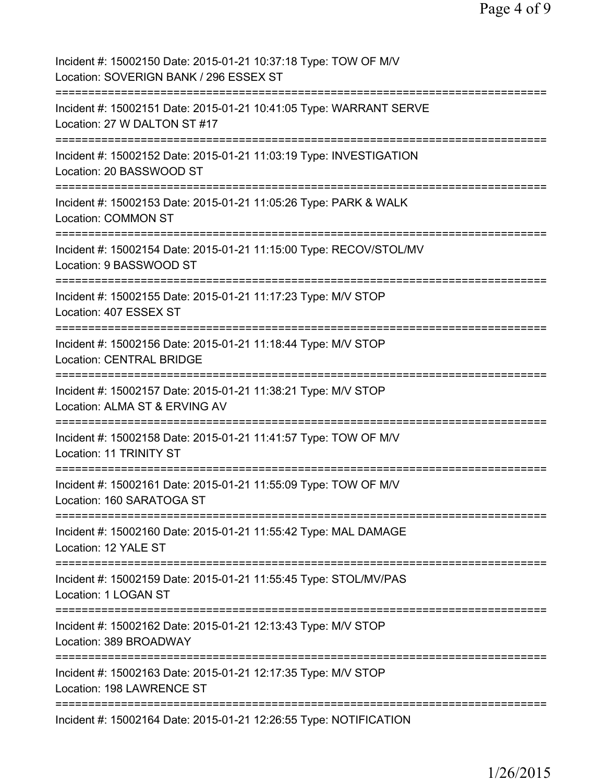| Incident #: 15002150 Date: 2015-01-21 10:37:18 Type: TOW OF M/V<br>Location: SOVERIGN BANK / 296 ESSEX ST            |
|----------------------------------------------------------------------------------------------------------------------|
| Incident #: 15002151 Date: 2015-01-21 10:41:05 Type: WARRANT SERVE<br>Location: 27 W DALTON ST #17                   |
| Incident #: 15002152 Date: 2015-01-21 11:03:19 Type: INVESTIGATION<br>Location: 20 BASSWOOD ST                       |
| Incident #: 15002153 Date: 2015-01-21 11:05:26 Type: PARK & WALK<br><b>Location: COMMON ST</b>                       |
| Incident #: 15002154 Date: 2015-01-21 11:15:00 Type: RECOV/STOL/MV<br>Location: 9 BASSWOOD ST                        |
| Incident #: 15002155 Date: 2015-01-21 11:17:23 Type: M/V STOP<br>Location: 407 ESSEX ST                              |
| Incident #: 15002156 Date: 2015-01-21 11:18:44 Type: M/V STOP<br><b>Location: CENTRAL BRIDGE</b>                     |
| Incident #: 15002157 Date: 2015-01-21 11:38:21 Type: M/V STOP<br>Location: ALMA ST & ERVING AV                       |
| Incident #: 15002158 Date: 2015-01-21 11:41:57 Type: TOW OF M/V<br>Location: 11 TRINITY ST<br>---------------------- |
| Incident #: 15002161 Date: 2015-01-21 11:55:09 Type: TOW OF M/V<br>Location: 160 SARATOGA ST                         |
| Incident #: 15002160 Date: 2015-01-21 11:55:42 Type: MAL DAMAGE<br>Location: 12 YALE ST                              |
| Incident #: 15002159 Date: 2015-01-21 11:55:45 Type: STOL/MV/PAS<br>Location: 1 LOGAN ST                             |
| Incident #: 15002162 Date: 2015-01-21 12:13:43 Type: M/V STOP<br>Location: 389 BROADWAY                              |
| Incident #: 15002163 Date: 2015-01-21 12:17:35 Type: M/V STOP<br>Location: 198 LAWRENCE ST                           |
| Incident #: 15002164 Date: 2015-01-21 12:26:55 Type: NOTIFICATION                                                    |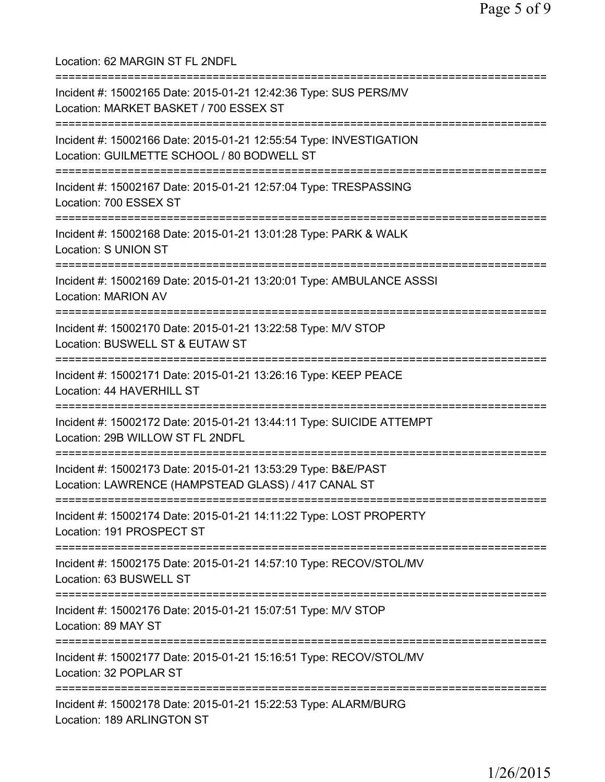Location: 62 MARGIN ST FL 2NDFL =========================================================================== Incident #: 15002165 Date: 2015-01-21 12:42:36 Type: SUS PERS/MV Location: MARKET BASKET / 700 ESSEX ST =========================================================================== Incident #: 15002166 Date: 2015-01-21 12:55:54 Type: INVESTIGATION Location: GUILMETTE SCHOOL / 80 BODWELL ST =========================================================================== Incident #: 15002167 Date: 2015-01-21 12:57:04 Type: TRESPASSING Location: 700 ESSEX ST =========================================================================== Incident #: 15002168 Date: 2015-01-21 13:01:28 Type: PARK & WALK Location: S UNION ST =========================================================================== Incident #: 15002169 Date: 2015-01-21 13:20:01 Type: AMBULANCE ASSSI Location: MARION AV =========================================================================== Incident #: 15002170 Date: 2015-01-21 13:22:58 Type: M/V STOP Location: BUSWELL ST & EUTAW ST =========================================================================== Incident #: 15002171 Date: 2015-01-21 13:26:16 Type: KEEP PEACE Location: 44 HAVERHILL ST =========================================================================== Incident #: 15002172 Date: 2015-01-21 13:44:11 Type: SUICIDE ATTEMPT Location: 29B WILLOW ST FL 2NDFL =========================================================================== Incident #: 15002173 Date: 2015-01-21 13:53:29 Type: B&E/PAST Location: LAWRENCE (HAMPSTEAD GLASS) / 417 CANAL ST =========================================================================== Incident #: 15002174 Date: 2015-01-21 14:11:22 Type: LOST PROPERTY Location: 191 PROSPECT ST =========================================================================== Incident #: 15002175 Date: 2015-01-21 14:57:10 Type: RECOV/STOL/MV Location: 63 BUSWELL ST =========================================================================== Incident #: 15002176 Date: 2015-01-21 15:07:51 Type: M/V STOP Location: 89 MAY ST =========================================================================== Incident #: 15002177 Date: 2015-01-21 15:16:51 Type: RECOV/STOL/MV Location: 32 POPLAR ST =========================================================================== Incident #: 15002178 Date: 2015-01-21 15:22:53 Type: ALARM/BURG Location: 189 ARLINGTON ST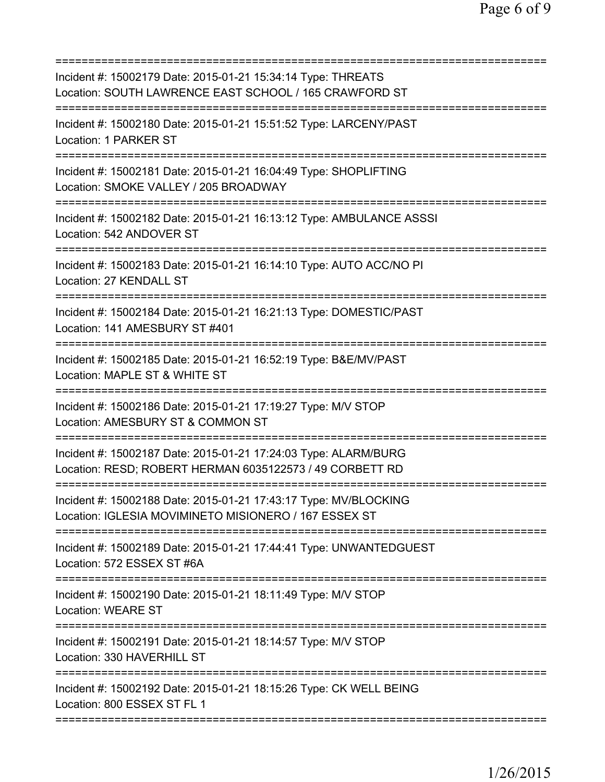| Incident #: 15002179 Date: 2015-01-21 15:34:14 Type: THREATS<br>Location: SOUTH LAWRENCE EAST SCHOOL / 165 CRAWFORD ST                  |
|-----------------------------------------------------------------------------------------------------------------------------------------|
| Incident #: 15002180 Date: 2015-01-21 15:51:52 Type: LARCENY/PAST<br>Location: 1 PARKER ST                                              |
| Incident #: 15002181 Date: 2015-01-21 16:04:49 Type: SHOPLIFTING<br>Location: SMOKE VALLEY / 205 BROADWAY<br>========================== |
| Incident #: 15002182 Date: 2015-01-21 16:13:12 Type: AMBULANCE ASSSI<br>Location: 542 ANDOVER ST                                        |
| Incident #: 15002183 Date: 2015-01-21 16:14:10 Type: AUTO ACC/NO PI<br>Location: 27 KENDALL ST                                          |
| Incident #: 15002184 Date: 2015-01-21 16:21:13 Type: DOMESTIC/PAST<br>Location: 141 AMESBURY ST #401                                    |
| Incident #: 15002185 Date: 2015-01-21 16:52:19 Type: B&E/MV/PAST<br>Location: MAPLE ST & WHITE ST                                       |
| Incident #: 15002186 Date: 2015-01-21 17:19:27 Type: M/V STOP<br>Location: AMESBURY ST & COMMON ST                                      |
| Incident #: 15002187 Date: 2015-01-21 17:24:03 Type: ALARM/BURG<br>Location: RESD; ROBERT HERMAN 6035122573 / 49 CORBETT RD             |
| Incident #: 15002188 Date: 2015-01-21 17:43:17 Type: MV/BLOCKING<br>Location: IGLESIA MOVIMINETO MISIONERO / 167 ESSEX ST               |
| Incident #: 15002189 Date: 2015-01-21 17:44:41 Type: UNWANTEDGUEST<br>Location: 572 ESSEX ST #6A                                        |
| Incident #: 15002190 Date: 2015-01-21 18:11:49 Type: M/V STOP<br><b>Location: WEARE ST</b>                                              |
| Incident #: 15002191 Date: 2015-01-21 18:14:57 Type: M/V STOP<br>Location: 330 HAVERHILL ST                                             |
| Incident #: 15002192 Date: 2015-01-21 18:15:26 Type: CK WELL BEING<br>Location: 800 ESSEX ST FL 1                                       |
|                                                                                                                                         |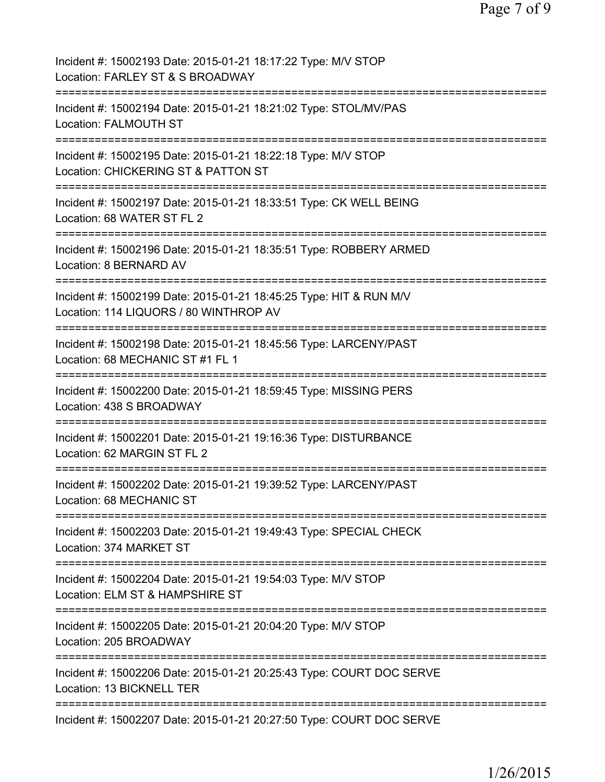| Incident #: 15002193 Date: 2015-01-21 18:17:22 Type: M/V STOP<br>Location: FARLEY ST & S BROADWAY                            |
|------------------------------------------------------------------------------------------------------------------------------|
| Incident #: 15002194 Date: 2015-01-21 18:21:02 Type: STOL/MV/PAS<br><b>Location: FALMOUTH ST</b>                             |
| Incident #: 15002195 Date: 2015-01-21 18:22:18 Type: M/V STOP<br>Location: CHICKERING ST & PATTON ST                         |
| Incident #: 15002197 Date: 2015-01-21 18:33:51 Type: CK WELL BEING<br>Location: 68 WATER ST FL 2                             |
| Incident #: 15002196 Date: 2015-01-21 18:35:51 Type: ROBBERY ARMED<br>Location: 8 BERNARD AV                                 |
| Incident #: 15002199 Date: 2015-01-21 18:45:25 Type: HIT & RUN M/V<br>Location: 114 LIQUORS / 80 WINTHROP AV                 |
| Incident #: 15002198 Date: 2015-01-21 18:45:56 Type: LARCENY/PAST<br>Location: 68 MECHANIC ST #1 FL 1                        |
| Incident #: 15002200 Date: 2015-01-21 18:59:45 Type: MISSING PERS<br>Location: 438 S BROADWAY                                |
| =========================<br>Incident #: 15002201 Date: 2015-01-21 19:16:36 Type: DISTURBANCE<br>Location: 62 MARGIN ST FL 2 |
| Incident #: 15002202 Date: 2015-01-21 19:39:52 Type: LARCENY/PAST<br>Location: 68 MECHANIC ST                                |
| Incident #: 15002203 Date: 2015-01-21 19:49:43 Type: SPECIAL CHECK<br>Location: 374 MARKET ST                                |
| Incident #: 15002204 Date: 2015-01-21 19:54:03 Type: M/V STOP<br>Location: ELM ST & HAMPSHIRE ST                             |
| Incident #: 15002205 Date: 2015-01-21 20:04:20 Type: M/V STOP<br>Location: 205 BROADWAY                                      |
| Incident #: 15002206 Date: 2015-01-21 20:25:43 Type: COURT DOC SERVE<br>Location: 13 BICKNELL TER                            |
| Incident #: 15002207 Date: 2015-01-21 20:27:50 Type: COURT DOC SERVE                                                         |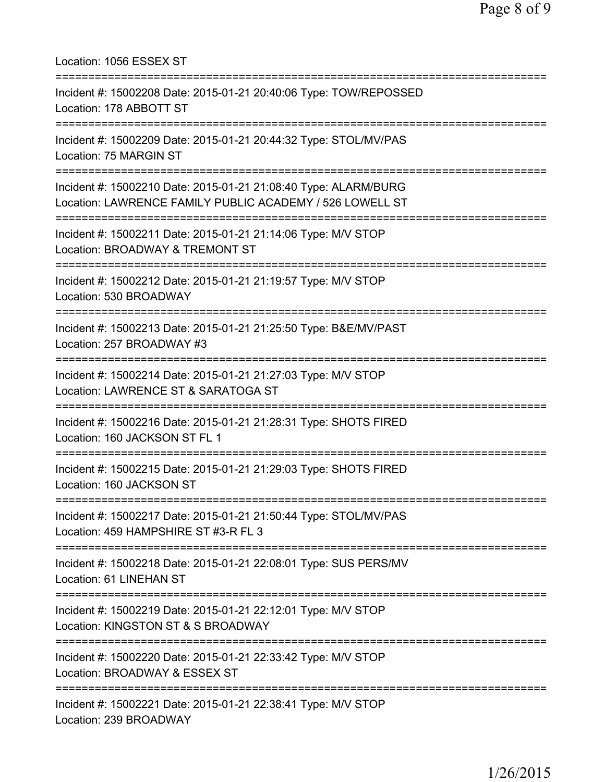Location: 1056 ESSEX ST =========================================================================== Incident #: 15002208 Date: 2015-01-21 20:40:06 Type: TOW/REPOSSED Location: 178 ABBOTT ST =========================================================================== Incident #: 15002209 Date: 2015-01-21 20:44:32 Type: STOL/MV/PAS Location: 75 MARGIN ST =========================================================================== Incident #: 15002210 Date: 2015-01-21 21:08:40 Type: ALARM/BURG Location: LAWRENCE FAMILY PUBLIC ACADEMY / 526 LOWELL ST =========================================================================== Incident #: 15002211 Date: 2015-01-21 21:14:06 Type: M/V STOP Location: BROADWAY & TREMONT ST =========================================================================== Incident #: 15002212 Date: 2015-01-21 21:19:57 Type: M/V STOP Location: 530 BROADWAY =========================================================================== Incident #: 15002213 Date: 2015-01-21 21:25:50 Type: B&E/MV/PAST Location: 257 BROADWAY #3 =========================================================================== Incident #: 15002214 Date: 2015-01-21 21:27:03 Type: M/V STOP Location: LAWRENCE ST & SARATOGA ST =========================================================================== Incident #: 15002216 Date: 2015-01-21 21:28:31 Type: SHOTS FIRED Location: 160 JACKSON ST FL 1 =========================================================================== Incident #: 15002215 Date: 2015-01-21 21:29:03 Type: SHOTS FIRED Location: 160 JACKSON ST =========================================================================== Incident #: 15002217 Date: 2015-01-21 21:50:44 Type: STOL/MV/PAS Location: 459 HAMPSHIRE ST #3-R FL 3 =========================================================================== Incident #: 15002218 Date: 2015-01-21 22:08:01 Type: SUS PERS/MV Location: 61 LINEHAN ST =========================================================================== Incident #: 15002219 Date: 2015-01-21 22:12:01 Type: M/V STOP Location: KINGSTON ST & S BROADWAY =========================================================================== Incident #: 15002220 Date: 2015-01-21 22:33:42 Type: M/V STOP Location: BROADWAY & ESSEX ST =========================================================================== Incident #: 15002221 Date: 2015-01-21 22:38:41 Type: M/V STOP Location: 239 BROADWAY